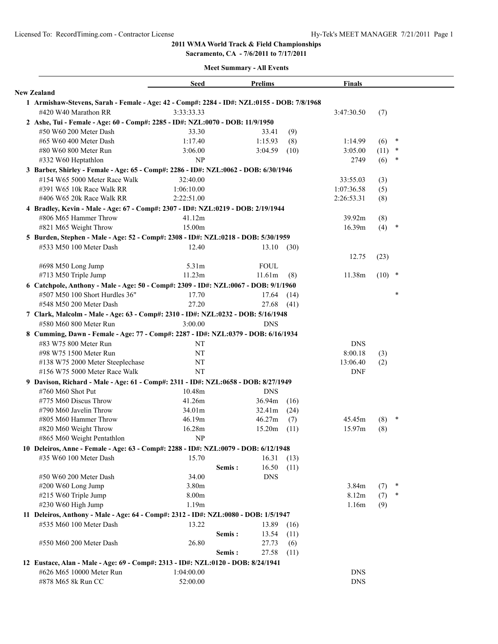**Sacramento, CA - 7/6/2011 to 7/17/2011**

|                                                                                                            | Seed         | <b>Prelims</b>  |      | Finals          |          |        |  |
|------------------------------------------------------------------------------------------------------------|--------------|-----------------|------|-----------------|----------|--------|--|
| <b>New Zealand</b>                                                                                         |              |                 |      |                 |          |        |  |
| 1 Armishaw-Stevens, Sarah - Female - Age: 42 - Comp#: 2284 - ID#: NZL:0155 - DOB: 7/8/1968                 |              |                 |      |                 |          |        |  |
| #420 W40 Marathon RR                                                                                       | 3:33:33.33   |                 |      | 3:47:30.50      | (7)      |        |  |
| 2 Ashe, Tui - Female - Age: 60 - Comp#: 2285 - ID#: NZL:0070 - DOB: 11/9/1950                              |              |                 |      |                 |          |        |  |
| #50 W60 200 Meter Dash                                                                                     | 33.30        | 33.41           | (9)  |                 |          |        |  |
| #65 W60 400 Meter Dash                                                                                     | 1:17.40      | 1:15.93         | (8)  | 1:14.99         | (6)      | $\ast$ |  |
| #80 W60 800 Meter Run                                                                                      | 3:06.00      | 3:04.59         | (10) | 3:05.00         | (11)     | $\ast$ |  |
| #332 W60 Heptathlon                                                                                        | NP           |                 |      | 2749            | (6)      | $\ast$ |  |
| 3 Barber, Shirley - Female - Age: 65 - Comp#: 2286 - ID#: NZL:0062 - DOB: 6/30/1946                        |              |                 |      |                 |          |        |  |
| #154 W65 5000 Meter Race Walk                                                                              | 32:40.00     |                 |      | 33:55.03        | (3)      |        |  |
| #391 W65 10k Race Walk RR                                                                                  | 1:06:10.00   |                 |      | 1:07:36.58      | (5)      |        |  |
| #406 W65 20k Race Walk RR                                                                                  | 2:22:51.00   |                 |      | 2:26:53.31      | (8)      |        |  |
| 4 Bradley, Kevin - Male - Age: 67 - Comp#: 2307 - ID#: NZL:0219 - DOB: 2/19/1944                           |              |                 |      |                 |          |        |  |
| #806 M65 Hammer Throw                                                                                      | 41.12m       |                 |      | 39.92m          | (8)      |        |  |
| #821 M65 Weight Throw                                                                                      | 15.00m       |                 |      | 16.39m          | (4)      | $\ast$ |  |
| 5 Burden, Stephen - Male - Age: 52 - Comp#: 2308 - ID#: NZL:0218 - DOB: 5/30/1959                          |              |                 |      |                 |          |        |  |
| #533 M50 100 Meter Dash                                                                                    | 12.40        | 13.10           | (30) |                 |          |        |  |
|                                                                                                            |              |                 |      | 12.75           | (23)     |        |  |
| #698 M50 Long Jump                                                                                         | 5.31m        | <b>FOUL</b>     |      |                 |          |        |  |
| #713 M50 Triple Jump                                                                                       | 11.23m       | 11.61m          | (8)  | 11.38m          | $(10)$ * |        |  |
| 6 Catchpole, Anthony - Male - Age: 50 - Comp#: 2309 - ID#: NZL:0067 - DOB: 9/1/1960                        |              |                 |      |                 |          |        |  |
| #507 M50 100 Short Hurdles 36"                                                                             | 17.70        | 17.64           | (14) |                 |          | *      |  |
| #548 M50 200 Meter Dash                                                                                    | 27.20        | 27.68           | (41) |                 |          |        |  |
| 7 Clark, Malcolm - Male - Age: 63 - Comp#: 2310 - ID#: NZL:0232 - DOB: 5/16/1948                           |              |                 |      |                 |          |        |  |
| #580 M60 800 Meter Run                                                                                     | 3:00.00      | <b>DNS</b>      |      |                 |          |        |  |
|                                                                                                            |              |                 |      |                 |          |        |  |
| 8 Cumming, Dawn - Female - Age: 77 - Comp#: 2287 - ID#: NZL:0379 - DOB: 6/16/1934<br>#83 W75 800 Meter Run | NT           |                 |      | <b>DNS</b>      |          |        |  |
| #98 W75 1500 Meter Run                                                                                     | NT           |                 |      |                 |          |        |  |
|                                                                                                            | NT           |                 |      | 8:00.18         | (3)      |        |  |
| #138 W75 2000 Meter Steeplechase<br>#156 W75 5000 Meter Race Walk                                          | <b>NT</b>    |                 |      | 13:06.40<br>DNF | (2)      |        |  |
|                                                                                                            |              |                 |      |                 |          |        |  |
| 9 Davison, Richard - Male - Age: 61 - Comp#: 2311 - ID#: NZL:0658 - DOB: 8/27/1949                         |              |                 |      |                 |          |        |  |
| #760 M60 Shot Put                                                                                          | 10.48m       | <b>DNS</b>      |      |                 |          |        |  |
| #775 M60 Discus Throw                                                                                      | 41.26m       | 36.94m          | (16) |                 |          |        |  |
| #790 M60 Javelin Throw                                                                                     | 34.01m       | 32.41m          | (24) |                 |          | $\ast$ |  |
| #805 M60 Hammer Throw                                                                                      | 46.19m       | 46.27m          | (7)  | 45.45m          | (8)      |        |  |
| #820 M60 Weight Throw                                                                                      | 16.28m<br>NP | 15.20m          | (11) | 15.97m          | (8)      |        |  |
| #865 M60 Weight Pentathlon                                                                                 |              |                 |      |                 |          |        |  |
| 10 Deleiros, Anne - Female - Age: 63 - Comp#: 2288 - ID#: NZL:0079 - DOB: 6/12/1948                        |              |                 |      |                 |          |        |  |
| #35 W60 100 Meter Dash                                                                                     | 15.70        | 16.31           | (13) |                 |          |        |  |
|                                                                                                            |              | 16.50<br>Semis: | (11) |                 |          |        |  |
| #50 W60 200 Meter Dash                                                                                     | 34.00        | <b>DNS</b>      |      |                 |          |        |  |
| #200 W60 Long Jump                                                                                         | 3.80m        |                 |      | 3.84m           | (7)      | $\ast$ |  |
| #215 W60 Triple Jump                                                                                       | 8.00m        |                 |      | 8.12m           | (7)      | $\ast$ |  |
| #230 W60 High Jump                                                                                         | 1.19m        |                 |      | 1.16m           | (9)      |        |  |
| 11 Deleiros, Anthony - Male - Age: 64 - Comp#: 2312 - ID#: NZL:0080 - DOB: 1/5/1947                        |              |                 |      |                 |          |        |  |
| #535 M60 100 Meter Dash                                                                                    | 13.22        | 13.89           | (16) |                 |          |        |  |
|                                                                                                            |              | 13.54<br>Semis: | (11) |                 |          |        |  |
| #550 M60 200 Meter Dash                                                                                    | 26.80        | 27.73           | (6)  |                 |          |        |  |
|                                                                                                            |              | Semis:<br>27.58 | (11) |                 |          |        |  |
| 12 Eustace, Alan - Male - Age: 69 - Comp#: 2313 - ID#: NZL:0120 - DOB: 8/24/1941                           |              |                 |      |                 |          |        |  |
| #626 M65 10000 Meter Run                                                                                   | 1:04:00.00   |                 |      | <b>DNS</b>      |          |        |  |
| #878 M65 8k Run CC                                                                                         | 52:00.00     |                 |      | <b>DNS</b>      |          |        |  |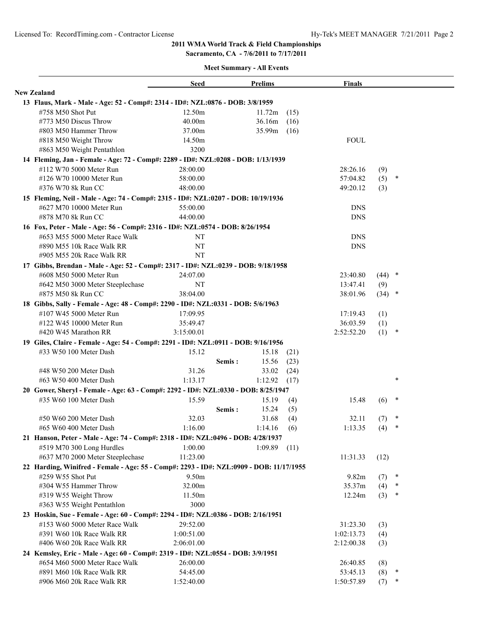**Sacramento, CA - 7/6/2011 to 7/17/2011**

|                                                                                         | Seed       |        | <b>Prelims</b> |      | <b>Finals</b> |          |        |  |
|-----------------------------------------------------------------------------------------|------------|--------|----------------|------|---------------|----------|--------|--|
| <b>New Zealand</b>                                                                      |            |        |                |      |               |          |        |  |
| 13 Flaus, Mark - Male - Age: 52 - Comp#: 2314 - ID#: NZL:0876 - DOB: 3/8/1959           |            |        |                |      |               |          |        |  |
| #758 M50 Shot Put                                                                       | 12.50m     |        | 11.72m         | (15) |               |          |        |  |
| #773 M50 Discus Throw                                                                   | 40.00m     |        | 36.16m         | (16) |               |          |        |  |
| #803 M50 Hammer Throw                                                                   | 37.00m     |        | 35.99m         | (16) |               |          |        |  |
| #818 M50 Weight Throw                                                                   | 14.50m     |        |                |      | <b>FOUL</b>   |          |        |  |
| #863 M50 Weight Pentathlon                                                              | 3200       |        |                |      |               |          |        |  |
| 14 Fleming, Jan - Female - Age: 72 - Comp#: 2289 - ID#: NZL:0208 - DOB: 1/13/1939       |            |        |                |      |               |          |        |  |
| #112 W70 5000 Meter Run                                                                 | 28:00.00   |        |                |      | 28:26.16      | (9)      |        |  |
| #126 W70 10000 Meter Run                                                                | 58:00.00   |        |                |      | 57:04.82      | (5)      | $\ast$ |  |
| #376 W70 8k Run CC                                                                      | 48:00.00   |        |                |      | 49:20.12      | (3)      |        |  |
| 15 Fleming, Neil - Male - Age: 74 - Comp#: 2315 - ID#: NZL:0207 - DOB: 10/19/1936       |            |        |                |      |               |          |        |  |
| #627 M70 10000 Meter Run                                                                | 55:00.00   |        |                |      | <b>DNS</b>    |          |        |  |
| #878 M70 8k Run CC                                                                      | 44:00.00   |        |                |      | <b>DNS</b>    |          |        |  |
| 16 Fox, Peter - Male - Age: 56 - Comp#: 2316 - ID#: NZL:0574 - DOB: 8/26/1954           |            |        |                |      |               |          |        |  |
| #653 M55 5000 Meter Race Walk                                                           | NT         |        |                |      | <b>DNS</b>    |          |        |  |
| #890 M55 10k Race Walk RR                                                               | NT         |        |                |      | <b>DNS</b>    |          |        |  |
| #905 M55 20k Race Walk RR                                                               | NT         |        |                |      |               |          |        |  |
| 17 Gibbs, Brendan - Male - Age: 52 - Comp#: 2317 - ID#: NZL:0239 - DOB: 9/18/1958       |            |        |                |      |               |          |        |  |
| #608 M50 5000 Meter Run                                                                 | 24:07.00   |        |                |      | 23:40.80      | $(44)$ * |        |  |
| #642 M50 3000 Meter Steeplechase                                                        | NΤ         |        |                |      | 13:47.41      | (9)      |        |  |
| #875 M50 8k Run CC                                                                      | 38:04.00   |        |                |      | 38:01.96      | $(34)$ * |        |  |
| 18 Gibbs, Sally - Female - Age: 48 - Comp#: 2290 - ID#: NZL:0331 - DOB: 5/6/1963        |            |        |                |      |               |          |        |  |
| #107 W45 5000 Meter Run                                                                 | 17:09.95   |        |                |      | 17:19.43      | (1)      |        |  |
| #122 W45 10000 Meter Run                                                                | 35:49.47   |        |                |      | 36:03.59      | (1)      |        |  |
| #420 W45 Marathon RR                                                                    | 3:15:00.01 |        |                |      | 2:52:52.20    | (1)      | $\ast$ |  |
| 19 Giles, Claire - Female - Age: 54 - Comp#: 2291 - ID#: NZL:0911 - DOB: 9/16/1956      |            |        |                |      |               |          |        |  |
| #33 W50 100 Meter Dash                                                                  | 15.12      |        | 15.18          | (21) |               |          |        |  |
|                                                                                         |            | Semis: | 15.56          | (23) |               |          |        |  |
| #48 W50 200 Meter Dash                                                                  | 31.26      |        | 33.02          | (24) |               |          |        |  |
| #63 W50 400 Meter Dash                                                                  | 1:13.17    |        | 1:12.92        | (17) |               |          | $\ast$ |  |
| 20 Gower, Sheryl - Female - Age: 63 - Comp#: 2292 - ID#: NZL:0330 - DOB: 8/25/1947      |            |        |                |      |               |          |        |  |
| #35 W60 100 Meter Dash                                                                  | 15.59      |        | 15.19          | (4)  | 15.48         | (6)      | $\ast$ |  |
|                                                                                         |            | Semis: | 15.24          | (5)  |               |          |        |  |
| #50 W60 200 Meter Dash                                                                  | 32.03      |        | 31.68          | (4)  | 32.11         | (7)      | $\ast$ |  |
| #65 W60 400 Meter Dash                                                                  | 1:16.00    |        | 1:14.16        | (6)  | 1:13.35       | (4)      | $\ast$ |  |
| 21 Hanson, Peter - Male - Age: 74 - Comp#: 2318 - ID#: NZL:0496 - DOB: 4/28/1937        |            |        |                |      |               |          |        |  |
| #519 M70 300 Long Hurdles                                                               | 1:00.00    |        | 1:09.89        | (11) |               |          |        |  |
| #637 M70 2000 Meter Steeplechase                                                        | 11:23.00   |        |                |      | 11:31.33      | (12)     |        |  |
| 22 Harding, Winifred - Female - Age: 55 - Comp#: 2293 - ID#: NZL:0909 - DOB: 11/17/1955 |            |        |                |      |               |          |        |  |
| #259 W55 Shot Put                                                                       | 9.50m      |        |                |      | 9.82m         | (7)      | $\ast$ |  |
| #304 W55 Hammer Throw                                                                   | 32.00m     |        |                |      | 35.37m        | (4)      | $\ast$ |  |
| #319 W55 Weight Throw                                                                   | 11.50m     |        |                |      | 12.24m        | (3)      | $\ast$ |  |
| #363 W55 Weight Pentathlon                                                              | 3000       |        |                |      |               |          |        |  |
| 23 Hoskin, Sue - Female - Age: 60 - Comp#: 2294 - ID#: NZL:0386 - DOB: 2/16/1951        |            |        |                |      |               |          |        |  |
| #153 W60 5000 Meter Race Walk                                                           | 29:52.00   |        |                |      | 31:23.30      | (3)      |        |  |
| #391 W60 10k Race Walk RR                                                               | 1:00:51.00 |        |                |      | 1:02:13.73    | (4)      |        |  |
| #406 W60 20k Race Walk RR                                                               | 2:06:01.00 |        |                |      | 2:12:00.38    | (3)      |        |  |
| 24 Kemsley, Eric - Male - Age: 60 - Comp#: 2319 - ID#: NZL:0554 - DOB: 3/9/1951         |            |        |                |      |               |          |        |  |
| #654 M60 5000 Meter Race Walk                                                           | 26:00.00   |        |                |      | 26:40.85      | (8)      |        |  |
| #891 M60 10k Race Walk RR                                                               | 54:45.00   |        |                |      | 53:45.13      | (8)      | $\ast$ |  |
| #906 M60 20k Race Walk RR                                                               | 1:52:40.00 |        |                |      | 1:50:57.89    | (7)      | $\ast$ |  |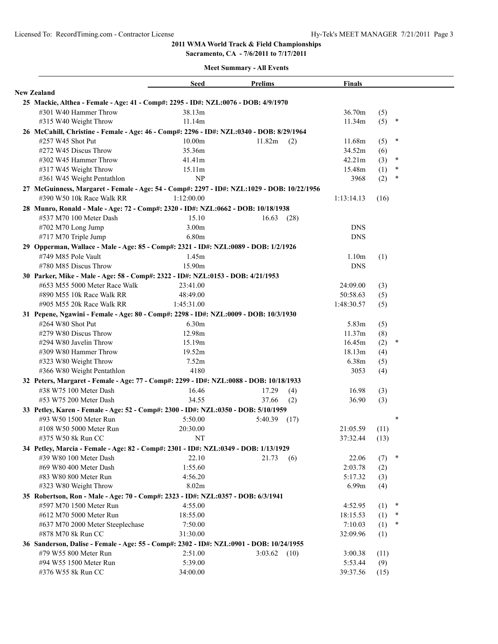**Sacramento, CA - 7/6/2011 to 7/17/2011**

|                                                                                            | <b>Seed</b> | Prelims         | <b>Finals</b>     |      |        |
|--------------------------------------------------------------------------------------------|-------------|-----------------|-------------------|------|--------|
| <b>New Zealand</b>                                                                         |             |                 |                   |      |        |
| 25 Mackie, Althea - Female - Age: 41 - Comp#: 2295 - ID#: NZL:0076 - DOB: 4/9/1970         |             |                 |                   |      |        |
| #301 W40 Hammer Throw                                                                      | 38.13m      |                 | 36.70m            | (5)  |        |
| #315 W40 Weight Throw                                                                      | 11.14m      |                 | 11.34m            | (5)  | $\ast$ |
| 26 McCahill, Christine - Female - Age: 46 - Comp#: 2296 - ID#: NZL:0340 - DOB: 8/29/1964   |             |                 |                   |      |        |
| #257 W45 Shot Put                                                                          | 10.00m      | 11.82m<br>(2)   | 11.68m            | (5)  | $\ast$ |
| #272 W45 Discus Throw                                                                      | 35.36m      |                 | 34.52m            | (6)  |        |
| #302 W45 Hammer Throw                                                                      | 41.41m      |                 | 42.21m            | (3)  | $\ast$ |
| #317 W45 Weight Throw                                                                      | 15.11m      |                 | 15.48m            | (1)  | $\ast$ |
| #361 W45 Weight Pentathlon                                                                 | NP          |                 | 3968              | (2)  | $\ast$ |
| 27 McGuinness, Margaret - Female - Age: 54 - Comp#: 2297 - ID#: NZL:1029 - DOB: 10/22/1956 |             |                 |                   |      |        |
| #390 W50 10k Race Walk RR                                                                  | 1:12:00.00  |                 | 1:13:14.13        | (16) |        |
| 28 Munro, Ronald - Male - Age: 72 - Comp#: 2320 - ID#: NZL:0662 - DOB: 10/18/1938          |             |                 |                   |      |        |
| #537 M70 100 Meter Dash                                                                    | 15.10       | 16.63<br>(28)   |                   |      |        |
| #702 M70 Long Jump                                                                         | 3.00m       |                 | <b>DNS</b>        |      |        |
| #717 M70 Triple Jump                                                                       | 6.80m       |                 | <b>DNS</b>        |      |        |
| 29 Opperman, Wallace - Male - Age: 85 - Comp#: 2321 - ID#: NZL:0089 - DOB: 1/2/1926        |             |                 |                   |      |        |
| #749 M85 Pole Vault                                                                        | 1.45m       |                 | 1.10 <sub>m</sub> | (1)  |        |
| #780 M85 Discus Throw                                                                      | 15.90m      |                 | <b>DNS</b>        |      |        |
| 30 Parker, Mike - Male - Age: 58 - Comp#: 2322 - ID#: NZL:0153 - DOB: 4/21/1953            |             |                 |                   |      |        |
| #653 M55 5000 Meter Race Walk                                                              | 23:41.00    |                 | 24:09.00          |      |        |
| #890 M55 10k Race Walk RR                                                                  | 48:49.00    |                 | 50:58.63          | (3)  |        |
| #905 M55 20k Race Walk RR                                                                  | 1:45:31.00  |                 | 1:48:30.57        | (5)  |        |
|                                                                                            |             |                 |                   | (5)  |        |
| 31 Pepene, Ngawini - Female - Age: 80 - Comp#: 2298 - ID#: NZL:0009 - DOB: 10/3/1930       |             |                 |                   |      |        |
| #264 W80 Shot Put                                                                          | 6.30m       |                 | 5.83m             | (5)  |        |
| #279 W80 Discus Throw                                                                      | 12.98m      |                 | 11.37m            | (8)  | $\ast$ |
| #294 W80 Javelin Throw                                                                     | 15.19m      |                 | 16.45m            | (2)  |        |
| #309 W80 Hammer Throw                                                                      | 19.52m      |                 | 18.13m            | (4)  |        |
| #323 W80 Weight Throw                                                                      | 7.52m       |                 | 6.38m             | (5)  |        |
| #366 W80 Weight Pentathlon                                                                 | 4180        |                 | 3053              | (4)  |        |
| 32 Peters, Margaret - Female - Age: 77 - Comp#: 2299 - ID#: NZL:0088 - DOB: 10/18/1933     |             |                 |                   |      |        |
| #38 W75 100 Meter Dash                                                                     | 16.46       | 17.29<br>(4)    | 16.98             | (3)  |        |
| #53 W75 200 Meter Dash                                                                     | 34.55       | 37.66<br>(2)    | 36.90             | (3)  |        |
| 33 Petley, Karen - Female - Age: 52 - Comp#: 2300 - ID#: NZL:0350 - DOB: 5/10/1959         |             |                 |                   |      |        |
| #93 W50 1500 Meter Run                                                                     | 5:50.00     | 5:40.39<br>(17) |                   |      | $\ast$ |
| #108 W50 5000 Meter Run                                                                    | 20:30.00    |                 | 21:05.59          | (11) |        |
| #375 W50 8k Run CC                                                                         | NT          |                 | $37:32.44$ (13)   |      |        |
| 34 Petley, Marcia - Female - Age: 82 - Comp#: 2301 - ID#: NZL:0349 - DOB: 1/13/1929        |             |                 |                   |      |        |
| #39 W80 100 Meter Dash                                                                     | 22.10       | 21.73<br>(6)    | 22.06             | (7)  | $\ast$ |
| #69 W80 400 Meter Dash                                                                     | 1:55.60     |                 | 2:03.78           | (2)  |        |
| #83 W80 800 Meter Run                                                                      | 4:56.20     |                 | 5:17.32           | (3)  |        |
| #323 W80 Weight Throw                                                                      | 8.02m       |                 | 6.99m             | (4)  |        |
| 35 Robertson, Ron - Male - Age: 70 - Comp#: 2323 - ID#: NZL:0357 - DOB: 6/3/1941           |             |                 |                   |      |        |
| #597 M70 1500 Meter Run                                                                    | 4:55.00     |                 | 4:52.95           | (1)  | $\ast$ |
| #612 M70 5000 Meter Run                                                                    | 18:55.00    |                 | 18:15.53          | (1)  | $\ast$ |
| #637 M70 2000 Meter Steeplechase                                                           | 7:50.00     |                 | 7:10.03           | (1)  | $\ast$ |
| #878 M70 8k Run CC                                                                         | 31:30.00    |                 | 32:09.96          | (1)  |        |
| 36 Sanderson, Dalise - Female - Age: 55 - Comp#: 2302 - ID#: NZL:0901 - DOB: 10/24/1955    |             |                 |                   |      |        |
| #79 W55 800 Meter Run                                                                      | 2:51.00     | $3:03.62$ (10)  | 3:00.38           | (11) |        |
| #94 W55 1500 Meter Run                                                                     | 5:39.00     |                 | 5:53.44           | (9)  |        |
| #376 W55 8k Run CC                                                                         | 34:00.00    |                 | 39:37.56          | (15) |        |